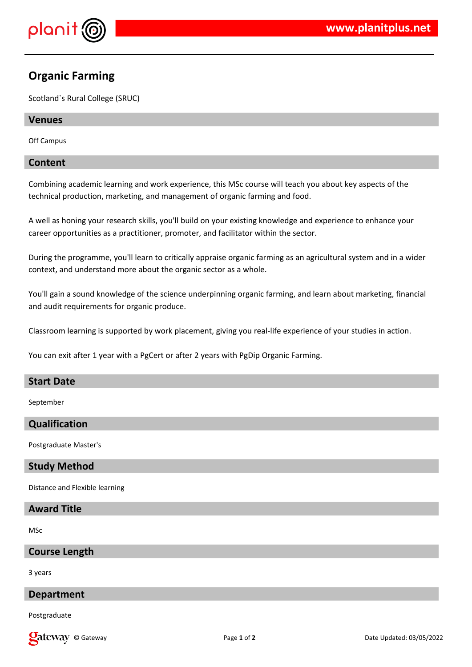

# **Organic Farming**

Scotland`s Rural College (SRUC)

## **Venues**

Off Campus

## **Content**

Combining academic learning and work experience, this MSc course will teach you about key aspects of the technical production, marketing, and management of organic farming and food.

A well as honing your research skills, you'll build on your existing knowledge and experience to enhance your career opportunities as a practitioner, promoter, and facilitator within the sector.

During the programme, you'll learn to critically appraise organic farming as an agricultural system and in a wider context, and understand more about the organic sector as a whole.

You'll gain a sound knowledge of the science underpinning organic farming, and learn about marketing, financial and audit requirements for organic produce.

Classroom learning is supported by work placement, giving you real-life experience of your studies in action.

You can exit after 1 year with a PgCert or after 2 years with PgDip Organic Farming.

#### **Start Date**

September

## **Qualification**

Postgraduate Master's

#### **Study Method**

Distance and Flexible learning

## **Award Title**

MSc

#### **Course Length**

3 years

## **Department**

Postgraduate